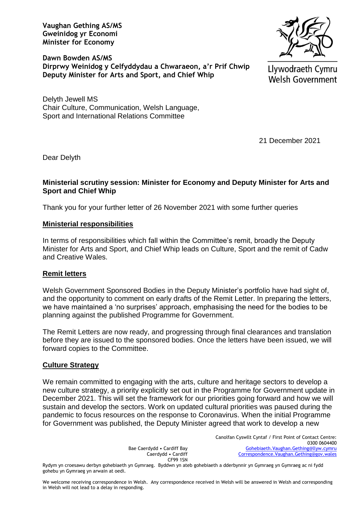**Vaughan Gething AS/MS Gweinidog yr Economi Minister for Economy**



**Dawn Bowden AS/MS Dirprwy Weinidog y Celfyddydau a Chwaraeon, a'r Prif Chwip Deputy Minister for Arts and Sport, and Chief Whip**

Llywodraeth Cymru **Welsh Government** 

Delyth Jewell MS Chair Culture, Communication, Welsh Language, Sport and International Relations Committee

21 December 2021

Dear Delyth

## **Ministerial scrutiny session: Minister for Economy and Deputy Minister for Arts and Sport and Chief Whip**

Thank you for your further letter of 26 November 2021 with some further queries

## **Ministerial responsibilities**

In terms of responsibilities which fall within the Committee's remit, broadly the Deputy Minister for Arts and Sport, and Chief Whip leads on Culture, Sport and the remit of Cadw and Creative Wales.

## **Remit letters**

Welsh Government Sponsored Bodies in the Deputy Minister's portfolio have had sight of, and the opportunity to comment on early drafts of the Remit Letter. In preparing the letters, we have maintained a 'no surprises' approach, emphasising the need for the bodies to be planning against the published Programme for Government.

The Remit Letters are now ready, and progressing through final clearances and translation before they are issued to the sponsored bodies. Once the letters have been issued, we will forward copies to the Committee.

## **Culture Strategy**

We remain committed to engaging with the arts, culture and heritage sectors to develop a new culture strategy, a priority explicitly set out in the Programme for Government update in December 2021. This will set the framework for our priorities going forward and how we will sustain and develop the sectors. Work on updated cultural priorities was paused during the pandemic to focus resources on the response to Coronavirus. When the initial Programme for Government was published, the Deputy Minister agreed that work to develop a new

> Bae Caerdydd • Cardiff Bay Caerdydd • Cardiff CF99 1SN

Canolfan Cyswllt Cyntaf / First Point of Contact Centre: 0300 0604400 [Gohebiaeth.Vaughan.Gething@llyw.cymru](mailto:Gohebiaeth.Vaughan.Gething@llyw.cymru) [Correspondence.Vaughan.Gething@gov.wales](mailto:Correspondence.Vaughan.Gething@gov.wales)

Rydym yn croesawu derbyn gohebiaeth yn Gymraeg. Byddwn yn ateb gohebiaeth a dderbynnir yn Gymraeg yn Gymraeg ac ni fydd gohebu yn Gymraeg yn arwain at oedi.

We welcome receiving correspondence in Welsh. Any correspondence received in Welsh will be answered in Welsh and corresponding in Welsh will not lead to a delay in responding.